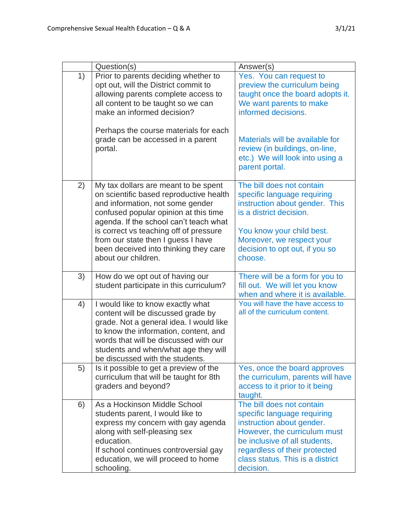|    | Question(s)                                                                                                                                                                                                                                                                      | Answer(s)                                                                                                                                                                                                                                                               |
|----|----------------------------------------------------------------------------------------------------------------------------------------------------------------------------------------------------------------------------------------------------------------------------------|-------------------------------------------------------------------------------------------------------------------------------------------------------------------------------------------------------------------------------------------------------------------------|
| 1) | Prior to parents deciding whether to<br>opt out, will the District commit to<br>allowing parents complete access to<br>all content to be taught so we can<br>make an informed decision?<br>Perhaps the course materials for each<br>grade can be accessed in a parent<br>portal. | Yes. You can request to<br>preview the curriculum being<br>taught once the board adopts it.<br>We want parents to make<br>informed decisions.<br>Materials will be available for<br>review (in buildings, on-line,<br>etc.) We will look into using a<br>parent portal. |
| 2) | My tax dollars are meant to be spent<br>on scientific based reproductive health<br>and information, not some gender                                                                                                                                                              | The bill does not contain<br>specific language requiring<br>instruction about gender. This                                                                                                                                                                              |
|    | confused popular opinion at this time<br>agenda. If the school can't teach what<br>is correct vs teaching off of pressure<br>from our state then I guess I have<br>been deceived into thinking they care<br>about our children.                                                  | is a district decision.<br>You know your child best.<br>Moreover, we respect your<br>decision to opt out, if you so<br>choose.                                                                                                                                          |
| 3) | How do we opt out of having our<br>student participate in this curriculum?                                                                                                                                                                                                       | There will be a form for you to<br>fill out. We will let you know<br>when and where it is available.                                                                                                                                                                    |
| 4) | I would like to know exactly what<br>content will be discussed grade by<br>grade. Not a general idea. I would like<br>to know the information, content, and<br>words that will be discussed with our<br>students and when/what age they will<br>be discussed with the students.  | You will have the have access to<br>all of the curriculum content.                                                                                                                                                                                                      |
| 5) | Is it possible to get a preview of the<br>curriculum that will be taught for 8th<br>graders and beyond?                                                                                                                                                                          | Yes, once the board approves<br>the curriculum, parents will have<br>access to it prior to it being<br>taught.                                                                                                                                                          |
| 6) | As a Hockinson Middle School<br>students parent, I would like to<br>express my concern with gay agenda<br>along with self-pleasing sex<br>education.<br>If school continues controversial gay<br>education, we will proceed to home<br>schooling.                                | The bill does not contain<br>specific language requiring<br>instruction about gender.<br>However, the curriculum must<br>be inclusive of all students,<br>regardless of their protected<br>class status. This is a district<br>decision.                                |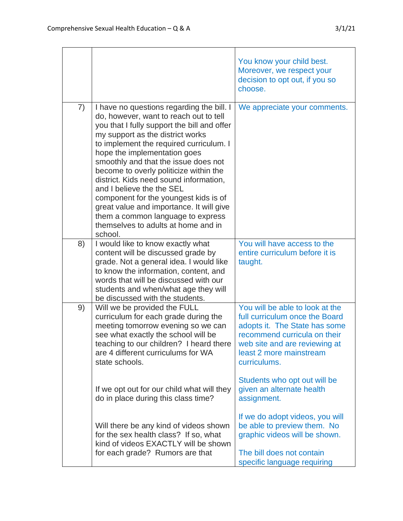|    |                                                                                                                                                                                                                                                                                                                                                                                                                                                                                                                                                                                        | You know your child best.<br>Moreover, we respect your<br>decision to opt out, if you so<br>choose.                                                                                                            |
|----|----------------------------------------------------------------------------------------------------------------------------------------------------------------------------------------------------------------------------------------------------------------------------------------------------------------------------------------------------------------------------------------------------------------------------------------------------------------------------------------------------------------------------------------------------------------------------------------|----------------------------------------------------------------------------------------------------------------------------------------------------------------------------------------------------------------|
| 7) | I have no questions regarding the bill. I<br>do, however, want to reach out to tell<br>you that I fully support the bill and offer<br>my support as the district works<br>to implement the required curriculum. I<br>hope the implementation goes<br>smoothly and that the issue does not<br>become to overly politicize within the<br>district. Kids need sound information,<br>and I believe the the SEL<br>component for the youngest kids is of<br>great value and importance. It will give<br>them a common language to express<br>themselves to adults at home and in<br>school. | We appreciate your comments.                                                                                                                                                                                   |
| 8) | I would like to know exactly what<br>content will be discussed grade by<br>grade. Not a general idea. I would like<br>to know the information, content, and<br>words that will be discussed with our<br>students and when/what age they will<br>be discussed with the students.                                                                                                                                                                                                                                                                                                        | You will have access to the<br>entire curriculum before it is<br>taught.                                                                                                                                       |
| 9) | Will we be provided the FULL<br>curriculum for each grade during the<br>meeting tomorrow evening so we can<br>see what exactly the school will be<br>teaching to our children? I heard there<br>are 4 different curriculums for WA<br>state schools.                                                                                                                                                                                                                                                                                                                                   | You will be able to look at the<br>full curriculum once the Board<br>adopts it. The State has some<br>recommend curricula on their<br>web site and are reviewing at<br>least 2 more mainstream<br>curriculums. |
|    | If we opt out for our child what will they<br>do in place during this class time?                                                                                                                                                                                                                                                                                                                                                                                                                                                                                                      | Students who opt out will be<br>given an alternate health<br>assignment.                                                                                                                                       |
|    | Will there be any kind of videos shown<br>for the sex health class? If so, what<br>kind of videos EXACTLY will be shown<br>for each grade? Rumors are that                                                                                                                                                                                                                                                                                                                                                                                                                             | If we do adopt videos, you will<br>be able to preview them. No<br>graphic videos will be shown.<br>The bill does not contain<br>specific language requiring                                                    |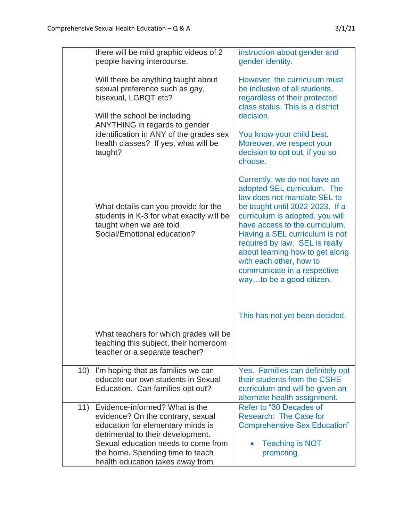|     | there will be mild graphic videos of 2<br>people having intercourse.                                                                                                                                                                                         | instruction about gender and<br>gender identity.                                                                                                                                                                                                                                                                                                                                                |
|-----|--------------------------------------------------------------------------------------------------------------------------------------------------------------------------------------------------------------------------------------------------------------|-------------------------------------------------------------------------------------------------------------------------------------------------------------------------------------------------------------------------------------------------------------------------------------------------------------------------------------------------------------------------------------------------|
|     | Will there be anything taught about<br>sexual preference such as gay,<br>bisexual, LGBQT etc?<br>Will the school be including<br>ANYTHING in regards to gender<br>identification in ANY of the grades sex<br>health classes? If yes, what will be<br>taught? | However, the curriculum must<br>be inclusive of all students,<br>regardless of their protected<br>class status. This is a district<br>decision.<br>You know your child best.<br>Moreover, we respect your<br>decision to opt out, if you so<br>choose.                                                                                                                                          |
|     | What details can you provide for the<br>students in K-3 for what exactly will be<br>taught when we are told<br>Social/Emotional education?                                                                                                                   | Currently, we do not have an<br>adopted SEL curriculum. The<br>law does not mandate SEL to<br>be taught until 2022-2023. If a<br>curriculum is adopted, you will<br>have access to the curriculum.<br>Having a SEL curriculum is not<br>required by law. SEL is really<br>about learning how to get along<br>with each other, how to<br>communicate in a respective<br>wayto be a good citizen. |
|     | What teachers for which grades will be                                                                                                                                                                                                                       | This has not yet been decided.                                                                                                                                                                                                                                                                                                                                                                  |
|     | teaching this subject, their homeroom<br>teacher or a separate teacher?                                                                                                                                                                                      |                                                                                                                                                                                                                                                                                                                                                                                                 |
| 10) | I'm hoping that as families we can<br>educate our own students in Sexual<br>Education. Can families opt out?                                                                                                                                                 | Yes. Families can definitely opt<br>their students from the CSHE<br>curriculum and will be given an<br>alternate health assignment.                                                                                                                                                                                                                                                             |
| 11) | Evidence-informed? What is the<br>evidence? On the contrary, sexual<br>education for elementary minds is<br>detrimental to their development.<br>Sexual education needs to come from<br>the home. Spending time to teach<br>health education takes away from | Refer to "30 Decades of<br>Research: The Case for<br><b>Comprehensive Sex Education"</b><br><b>Teaching is NOT</b><br>promoting                                                                                                                                                                                                                                                                 |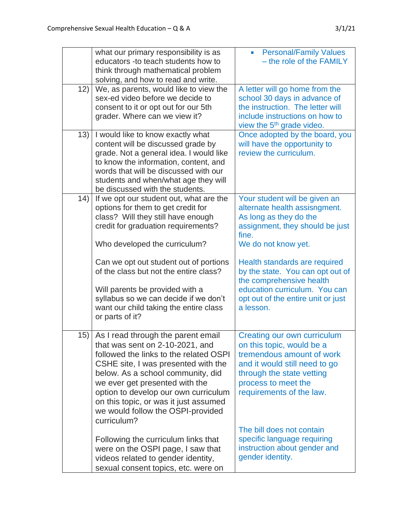|     | what our primary responsibility is as<br>educators -to teach students how to<br>think through mathematical problem<br>solving, and how to read and write.                                                                                                                                                                                                          | <b>Personal/Family Values</b><br>$\blacksquare$<br>- the role of the FAMILY                                                                                                                            |
|-----|--------------------------------------------------------------------------------------------------------------------------------------------------------------------------------------------------------------------------------------------------------------------------------------------------------------------------------------------------------------------|--------------------------------------------------------------------------------------------------------------------------------------------------------------------------------------------------------|
| 12) | We, as parents, would like to view the<br>sex-ed video before we decide to<br>consent to it or opt out for our 5th<br>grader. Where can we view it?                                                                                                                                                                                                                | A letter will go home from the<br>school 30 days in advance of<br>the instruction. The letter will<br>include instructions on how to<br>view the 5 <sup>th</sup> grade video.                          |
| 13) | I would like to know exactly what<br>content will be discussed grade by<br>grade. Not a general idea. I would like<br>to know the information, content, and<br>words that will be discussed with our<br>students and when/what age they will<br>be discussed with the students.                                                                                    | Once adopted by the board, you<br>will have the opportunity to<br>review the curriculum.                                                                                                               |
| 14) | If we opt our student out, what are the<br>options for them to get credit for<br>class? Will they still have enough<br>credit for graduation requirements?<br>Who developed the curriculum?                                                                                                                                                                        | Your student will be given an<br>alternate health assisngment.<br>As long as they do the<br>assignment, they should be just<br>fine.<br>We do not know yet.                                            |
|     | Can we opt out student out of portions<br>of the class but not the entire class?<br>Will parents be provided with a<br>syllabus so we can decide if we don't<br>want our child taking the entire class<br>or parts of it?                                                                                                                                          | Health standards are required<br>by the state. You can opt out of<br>the comprehensive health<br>education curriculum. You can<br>opt out of the entire unit or just<br>a lesson.                      |
| 15) | As I read through the parent email<br>that was sent on 2-10-2021, and<br>followed the links to the related OSPI<br>CSHE site, I was presented with the<br>below. As a school community, did<br>we ever get presented with the<br>option to develop our own curriculum<br>on this topic, or was it just assumed<br>we would follow the OSPI-provided<br>curriculum? | Creating our own curriculum<br>on this topic, would be a<br>tremendous amount of work<br>and it would still need to go<br>through the state vetting<br>process to meet the<br>requirements of the law. |
|     | Following the curriculum links that<br>were on the OSPI page, I saw that<br>videos related to gender identity,<br>sexual consent topics, etc. were on                                                                                                                                                                                                              | The bill does not contain<br>specific language requiring<br>instruction about gender and<br>gender identity.                                                                                           |